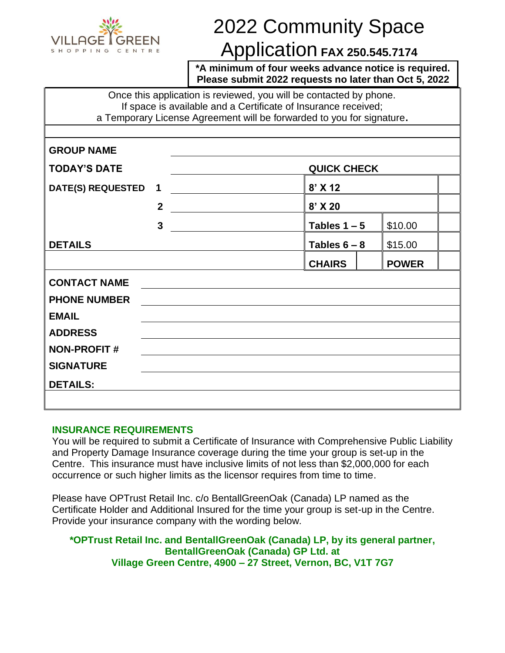

# 2022 Community Space

# Application **FAX 250.545.7174**

**\*A minimum of four weeks advance notice is required. Please submit 2022 requests no later than Oct 5, 2022**

Once this application is reviewed, you will be contacted by phone. If space is available and a Certificate of Insurance received; a Temporary License Agreement will be forwarded to you for signature**.**

| <b>GROUP NAME</b>        |                |                    |              |  |
|--------------------------|----------------|--------------------|--------------|--|
| <b>TODAY'S DATE</b>      |                | <b>QUICK CHECK</b> |              |  |
| <b>DATE(S) REQUESTED</b> | $\mathbf 1$    | $8'$ X 12          |              |  |
|                          | $\overline{2}$ | 8' X 20            |              |  |
|                          | $\mathbf{3}$   | Tables $1 - 5$     | \$10.00      |  |
| <b>DETAILS</b>           |                | Tables $6 - 8$     | \$15.00      |  |
|                          |                | <b>CHAIRS</b>      | <b>POWER</b> |  |
| <b>CONTACT NAME</b>      |                |                    |              |  |
| <b>PHONE NUMBER</b>      |                |                    |              |  |
| <b>EMAIL</b>             |                |                    |              |  |
| <b>ADDRESS</b>           |                |                    |              |  |
| <b>NON-PROFIT#</b>       |                |                    |              |  |
| <b>SIGNATURE</b>         |                |                    |              |  |
| <b>DETAILS:</b>          |                |                    |              |  |
|                          |                |                    |              |  |

## **INSURANCE REQUIREMENTS**

You will be required to submit a Certificate of Insurance with Comprehensive Public Liability and Property Damage Insurance coverage during the time your group is set-up in the Centre. This insurance must have inclusive limits of not less than \$2,000,000 for each occurrence or such higher limits as the licensor requires from time to time.

Please have OPTrust Retail Inc. c/o BentallGreenOak (Canada) LP named as the Certificate Holder and Additional Insured for the time your group is set-up in the Centre. Provide your insurance company with the wording below*.*

**\*OPTrust Retail Inc. and BentallGreenOak (Canada) LP, by its general partner, BentallGreenOak (Canada) GP Ltd. at Village Green Centre, 4900 – 27 Street, Vernon, BC, V1T 7G7**